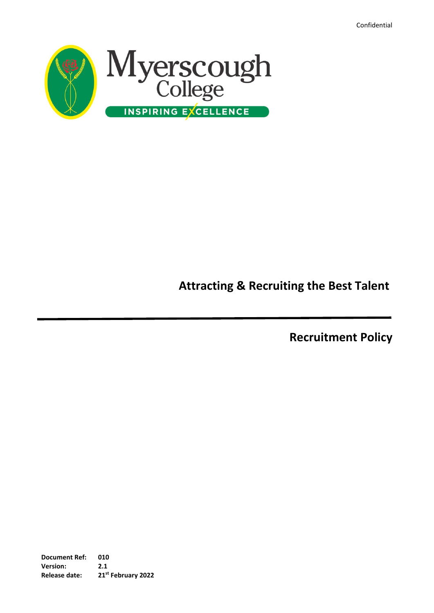Confidential



# **Attracting & Recruiting the Best Talent**

**Recruitment Policy**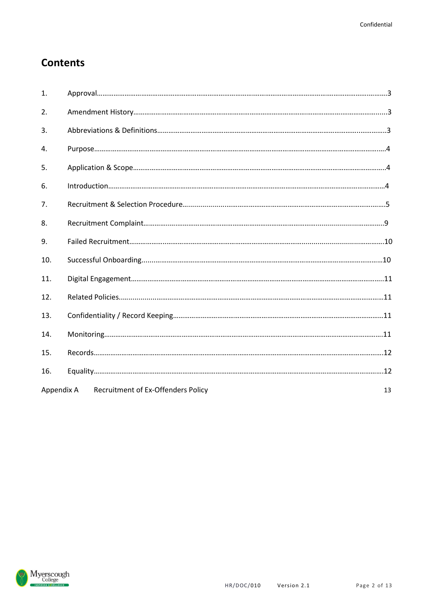## **Contents**

| 1.         |                                           |    |
|------------|-------------------------------------------|----|
| 2.         |                                           |    |
| 3.         |                                           |    |
| 4.         |                                           |    |
| 5.         |                                           |    |
| 6.         |                                           |    |
| 7.         |                                           |    |
| 8.         |                                           |    |
| 9.         |                                           |    |
| 10.        |                                           |    |
| 11.        |                                           |    |
| 12.        |                                           |    |
| 13.        |                                           |    |
| 14.        |                                           |    |
| 15.        |                                           |    |
| 16.        |                                           |    |
| Appendix A | <b>Recruitment of Ex-Offenders Policy</b> | 13 |

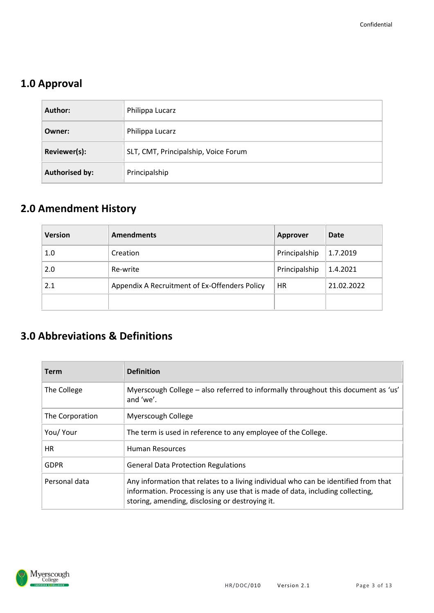## **1.0 Approval**

| Author:               | Philippa Lucarz                      |
|-----------------------|--------------------------------------|
| Owner:                | Philippa Lucarz                      |
| Reviewer(s):          | SLT, CMT, Principalship, Voice Forum |
| <b>Authorised by:</b> | Principalship                        |

## **2.0 Amendment History**

| <b>Version</b> | <b>Amendments</b>                             | <b>Approver</b> | <b>Date</b> |
|----------------|-----------------------------------------------|-----------------|-------------|
| 1.0            | Creation                                      | Principalship   | 1.7.2019    |
| 2.0            | Re-write                                      | Principalship   | 1.4.2021    |
| 2.1            | Appendix A Recruitment of Ex-Offenders Policy | HR              | 21.02.2022  |
|                |                                               |                 |             |

## **3.0 Abbreviations & Definitions**

| Term            | <b>Definition</b>                                                                                                                                                                                                        |  |  |  |
|-----------------|--------------------------------------------------------------------------------------------------------------------------------------------------------------------------------------------------------------------------|--|--|--|
| The College     | Myerscough College – also referred to informally throughout this document as 'us'<br>and 'we'.                                                                                                                           |  |  |  |
| The Corporation | Myerscough College                                                                                                                                                                                                       |  |  |  |
| You/ Your       | The term is used in reference to any employee of the College.                                                                                                                                                            |  |  |  |
| HR.             | Human Resources                                                                                                                                                                                                          |  |  |  |
| <b>GDPR</b>     | <b>General Data Protection Regulations</b>                                                                                                                                                                               |  |  |  |
| Personal data   | Any information that relates to a living individual who can be identified from that<br>information. Processing is any use that is made of data, including collecting,<br>storing, amending, disclosing or destroying it. |  |  |  |

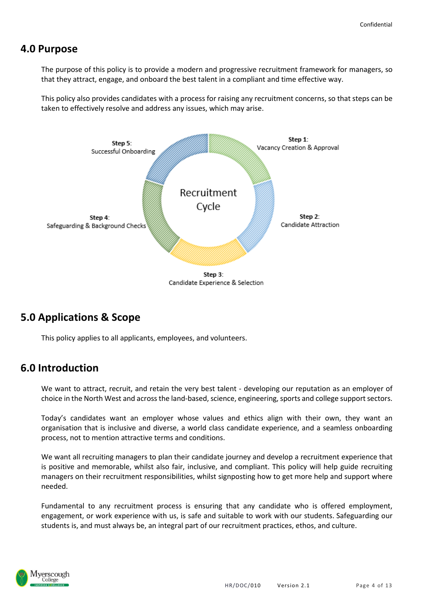### **4.0 Purpose**

The purpose of this policy is to provide a modern and progressive recruitment framework for managers, so that they attract, engage, and onboard the best talent in a compliant and time effective way.

This policy also provides candidates with a process for raising any recruitment concerns, so that steps can be taken to effectively resolve and address any issues, which may arise.



### **5.0 Applications & Scope**

This policy applies to all applicants, employees, and volunteers.

### **6.0 Introduction**

We want to attract, recruit, and retain the very best talent - developing our reputation as an employer of choice in the North West and across the land-based, science, engineering, sports and college support sectors.

Today's candidates want an employer whose values and ethics align with their own, they want an organisation that is inclusive and diverse, a world class candidate experience, and a seamless onboarding process, not to mention attractive terms and conditions.

We want all recruiting managers to plan their candidate journey and develop a recruitment experience that is positive and memorable, whilst also fair, inclusive, and compliant. This policy will help guide recruiting managers on their recruitment responsibilities, whilst signposting how to get more help and support where needed.

Fundamental to any recruitment process is ensuring that any candidate who is offered employment, engagement, or work experience with us, is safe and suitable to work with our students. Safeguarding our students is, and must always be, an integral part of our recruitment practices, ethos, and culture.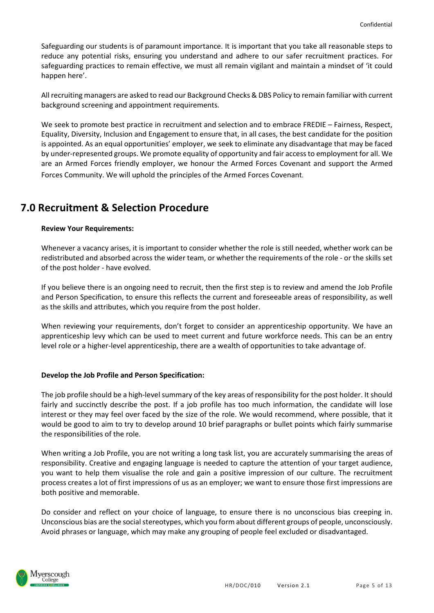Safeguarding our students is of paramount importance. It is important that you take all reasonable steps to reduce any potential risks, ensuring you understand and adhere to our safer recruitment practices. For safeguarding practices to remain effective, we must all remain vigilant and maintain a mindset of 'it could happen here'.

All recruiting managers are asked to read our Background Checks & DBS Policy to remain familiar with current background screening and appointment requirements.

We seek to promote best practice in recruitment and selection and to embrace FREDIE – Fairness, Respect, Equality, Diversity, Inclusion and Engagement to ensure that, in all cases, the best candidate for the position is appointed. As an equal opportunities' employer, we seek to eliminate any disadvantage that may be faced by under-represented groups. We promote equality of opportunity and fair access to employment for all. We are an Armed Forces friendly employer, we honour the Armed Forces Covenant and support the Armed Forces Community. We will uphold the principles of the Armed Forces Covenant.

### **7.0 Recruitment & Selection Procedure**

#### **Review Your Requirements:**

Whenever a vacancy arises, it is important to consider whether the role is still needed, whether work can be redistributed and absorbed across the wider team, or whether the requirements of the role - or the skills set of the post holder - have evolved.

If you believe there is an ongoing need to recruit, then the first step is to review and amend the Job Profile and Person Specification, to ensure this reflects the current and foreseeable areas of responsibility, as well as the skills and attributes, which you require from the post holder.

When reviewing your requirements, don't forget to consider an apprenticeship opportunity. We have an apprenticeship levy which can be used to meet current and future workforce needs. This can be an entry level role or a higher-level apprenticeship, there are a wealth of opportunities to take advantage of.

#### **Develop the Job Profile and Person Specification:**

The job profile should be a high-level summary of the key areas of responsibility for the post holder. It should fairly and succinctly describe the post. If a job profile has too much information, the candidate will lose interest or they may feel over faced by the size of the role. We would recommend, where possible, that it would be good to aim to try to develop around 10 brief paragraphs or bullet points which fairly summarise the responsibilities of the role.

When writing a Job Profile, you are not writing a long task list, you are accurately summarising the areas of responsibility. Creative and engaging language is needed to capture the attention of your target audience, you want to help them visualise the role and gain a positive impression of our culture. The recruitment process creates a lot of first impressions of us as an employer; we want to ensure those first impressions are both positive and memorable.

Do consider and reflect on your choice of language, to ensure there is no unconscious bias creeping in. Unconscious bias are the social stereotypes, which you form about different groups of people, unconsciously. Avoid phrases or language, which may make any grouping of people feel excluded or disadvantaged.

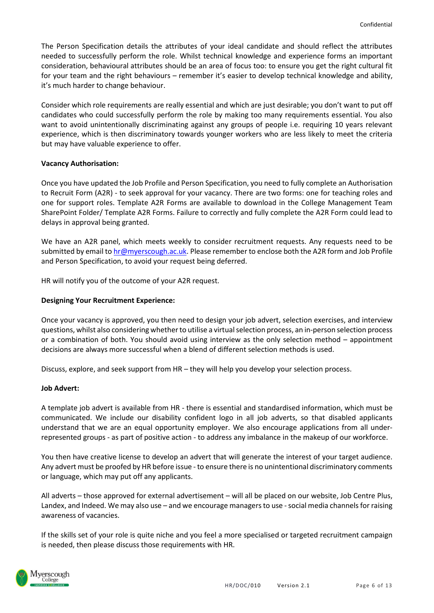The Person Specification details the attributes of your ideal candidate and should reflect the attributes needed to successfully perform the role. Whilst technical knowledge and experience forms an important consideration, behavioural attributes should be an area of focus too: to ensure you get the right cultural fit for your team and the right behaviours – remember it's easier to develop technical knowledge and ability, it's much harder to change behaviour.

Consider which role requirements are really essential and which are just desirable; you don't want to put off candidates who could successfully perform the role by making too many requirements essential. You also want to avoid unintentionally discriminating against any groups of people i.e. requiring 10 years relevant experience, which is then discriminatory towards younger workers who are less likely to meet the criteria but may have valuable experience to offer.

#### **Vacancy Authorisation:**

Once you have updated the Job Profile and Person Specification, you need to fully complete an Authorisation to Recruit Form (A2R) - to seek approval for your vacancy. There are two forms: one for teaching roles and one for support roles. Template A2R Forms are available to download in the College Management Team SharePoint Folder/ Template A2R Forms. Failure to correctly and fully complete the A2R Form could lead to delays in approval being granted.

We have an A2R panel, which meets weekly to consider recruitment requests. Any requests need to be submitted by email to [hr@myerscough.ac.uk.](mailto:hr@myerscough.ac.uk) Please remember to enclose both the A2R form and Job Profile and Person Specification, to avoid your request being deferred.

HR will notify you of the outcome of your A2R request.

#### **Designing Your Recruitment Experience:**

Once your vacancy is approved, you then need to design your job advert, selection exercises, and interview questions, whilst also considering whether to utilise a virtual selection process, an in-person selection process or a combination of both. You should avoid using interview as the only selection method – appointment decisions are always more successful when a blend of different selection methods is used.

Discuss, explore, and seek support from HR – they will help you develop your selection process.

#### **Job Advert:**

A template job advert is available from HR - there is essential and standardised information, which must be communicated. We include our disability confident logo in all job adverts, so that disabled applicants understand that we are an equal opportunity employer. We also encourage applications from all underrepresented groups - as part of positive action - to address any imbalance in the makeup of our workforce.

You then have creative license to develop an advert that will generate the interest of your target audience. Any advert must be proofed by HR before issue - to ensure there is no unintentional discriminatory comments or language, which may put off any applicants.

All adverts – those approved for external advertisement – will all be placed on our website, Job Centre Plus, Landex, and Indeed. We may also use – and we encourage managers to use - social media channels for raising awareness of vacancies.

If the skills set of your role is quite niche and you feel a more specialised or targeted recruitment campaign is needed, then please discuss those requirements with HR.

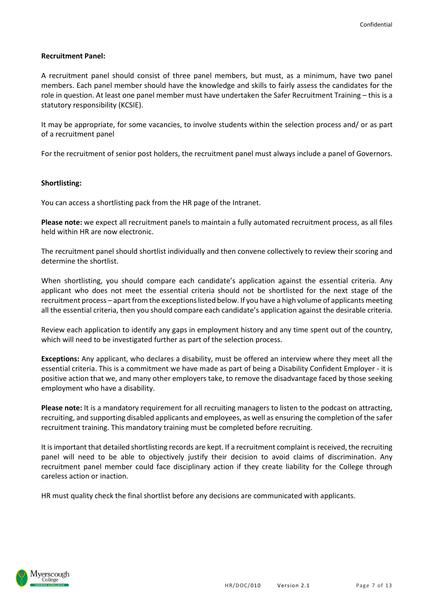#### **Recruitment Panel:**

A recruitment panel should consist of three panel members, but must, as a minimum, have two panel members. Each panel member should have the knowledge and skills to fairly assess the candidates for the role in question. At least one panel member must have undertaken the Safer Recruitment Training – this is a statutory responsibility (KCSIE).

It may be appropriate, for some vacancies, to involve students within the selection process and/ or as part of a recruitment panel

For the recruitment of senior post holders, the recruitment panel must always include a panel of Governors.

#### **Shortlisting:**

You can access a shortlisting pack from the HR page of the Intranet.

**Please note:** we expect all recruitment panels to maintain a fully automated recruitment process, as all files held within HR are now electronic.

The recruitment panel should shortlist individually and then convene collectively to review their scoring and determine the shortlist.

When shortlisting, you should compare each candidate's application against the essential criteria. Any applicant who does not meet the essential criteria should not be shortlisted for the next stage of the recruitment process – apart from the exceptions listed below. If you have a high volume of applicants meeting all the essential criteria, then you should compare each candidate's application against the desirable criteria.

Review each application to identify any gaps in employment history and any time spent out of the country, which will need to be investigated further as part of the selection process.

**Exceptions:** Any applicant, who declares a disability, must be offered an interview where they meet all the essential criteria. This is a commitment we have made as part of being a Disability Confident Employer - it is positive action that we, and many other employers take, to remove the disadvantage faced by those seeking employment who have a disability.

**Please note:** It is a mandatory requirement for all recruiting managers to listen to the podcast on attracting, recruiting, and supporting disabled applicants and employees, as well as ensuring the completion of the safer recruitment training. This mandatory training must be completed before recruiting.

It is important that detailed shortlisting records are kept. If a recruitment complaint is received, the recruiting panel will need to be able to objectively justify their decision to avoid claims of discrimination. Any recruitment panel member could face disciplinary action if they create liability for the College through careless action or inaction.

HR must quality check the final shortlist before any decisions are communicated with applicants.

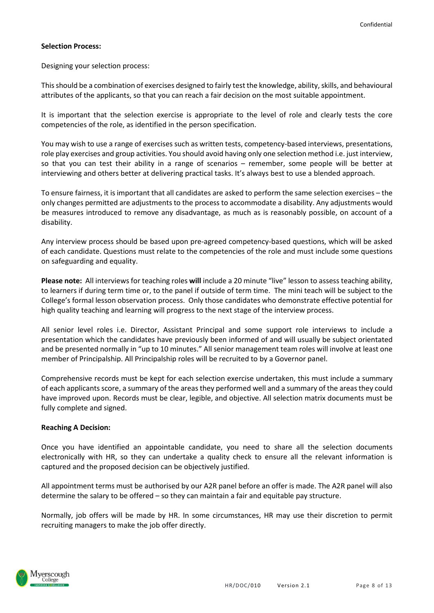#### **Selection Process:**

Designing your selection process:

This should be a combination of exercises designed to fairly test the knowledge, ability, skills, and behavioural attributes of the applicants, so that you can reach a fair decision on the most suitable appointment.

It is important that the selection exercise is appropriate to the level of role and clearly tests the core competencies of the role, as identified in the person specification.

You may wish to use a range of exercises such as written tests, competency-based interviews, presentations, role play exercises and group activities. You should avoid having only one selection method i.e. just interview, so that you can test their ability in a range of scenarios – remember, some people will be better at interviewing and others better at delivering practical tasks. It's always best to use a blended approach.

To ensure fairness, it is important that all candidates are asked to perform the same selection exercises – the only changes permitted are adjustments to the process to accommodate a disability. Any adjustments would be measures introduced to remove any disadvantage, as much as is reasonably possible, on account of a disability.

Any interview process should be based upon pre-agreed competency-based questions, which will be asked of each candidate. Questions must relate to the competencies of the role and must include some questions on safeguarding and equality.

**Please note:** All interviews for teaching roles **will** include a 20 minute "live" lesson to assess teaching ability, to learners if during term time or, to the panel if outside of term time. The mini teach will be subject to the College's formal lesson observation process. Only those candidates who demonstrate effective potential for high quality teaching and learning will progress to the next stage of the interview process.

All senior level roles i.e. Director, Assistant Principal and some support role interviews to include a presentation which the candidates have previously been informed of and will usually be subject orientated and be presented normally in "up to 10 minutes." All senior management team roles will involve at least one member of Principalship. All Principalship roles will be recruited to by a Governor panel.

Comprehensive records must be kept for each selection exercise undertaken, this must include a summary of each applicants score, a summary of the areas they performed well and a summary of the areas they could have improved upon. Records must be clear, legible, and objective. All selection matrix documents must be fully complete and signed.

#### **Reaching A Decision:**

Once you have identified an appointable candidate, you need to share all the selection documents electronically with HR, so they can undertake a quality check to ensure all the relevant information is captured and the proposed decision can be objectively justified.

All appointment terms must be authorised by our A2R panel before an offer is made. The A2R panel will also determine the salary to be offered – so they can maintain a fair and equitable pay structure.

Normally, job offers will be made by HR. In some circumstances, HR may use their discretion to permit recruiting managers to make the job offer directly.

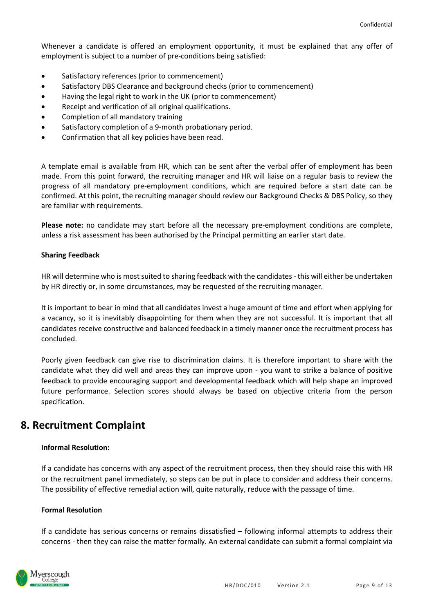Whenever a candidate is offered an employment opportunity, it must be explained that any offer of employment is subject to a number of pre-conditions being satisfied:

- Satisfactory references (prior to commencement)
- Satisfactory DBS Clearance and background checks (prior to commencement)
- Having the legal right to work in the UK (prior to commencement)
- Receipt and verification of all original qualifications.
- Completion of all mandatory training
- Satisfactory completion of a 9-month probationary period.
- Confirmation that all key policies have been read.

A template email is available from HR, which can be sent after the verbal offer of employment has been made. From this point forward, the recruiting manager and HR will liaise on a regular basis to review the progress of all mandatory pre-employment conditions, which are required before a start date can be confirmed. At this point, the recruiting manager should review our Background Checks & DBS Policy, so they are familiar with requirements.

**Please note:** no candidate may start before all the necessary pre-employment conditions are complete, unless a risk assessment has been authorised by the Principal permitting an earlier start date.

#### **Sharing Feedback**

HR will determine who is most suited to sharing feedback with the candidates - this will either be undertaken by HR directly or, in some circumstances, may be requested of the recruiting manager.

It is important to bear in mind that all candidates invest a huge amount of time and effort when applying for a vacancy, so it is inevitably disappointing for them when they are not successful. It is important that all candidates receive constructive and balanced feedback in a timely manner once the recruitment process has concluded.

Poorly given feedback can give rise to discrimination claims. It is therefore important to share with the candidate what they did well and areas they can improve upon - you want to strike a balance of positive feedback to provide encouraging support and developmental feedback which will help shape an improved future performance. Selection scores should always be based on objective criteria from the person specification.

### **8. Recruitment Complaint**

#### **Informal Resolution:**

If a candidate has concerns with any aspect of the recruitment process, then they should raise this with HR or the recruitment panel immediately, so steps can be put in place to consider and address their concerns. The possibility of effective remedial action will, quite naturally, reduce with the passage of time.

#### **Formal Resolution**

If a candidate has serious concerns or remains dissatisfied – following informal attempts to address their concerns - then they can raise the matter formally. An external candidate can submit a formal complaint via

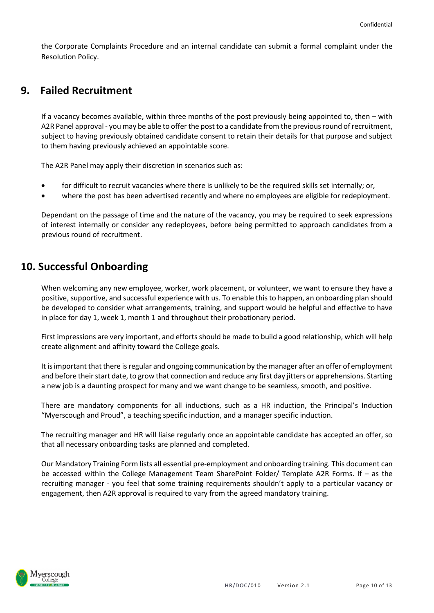the Corporate Complaints Procedure and an internal candidate can submit a formal complaint under the Resolution Policy.

### **9. Failed Recruitment**

If a vacancy becomes available, within three months of the post previously being appointed to, then – with A2R Panel approval - you may be able to offer the post to a candidate from the previous round of recruitment, subject to having previously obtained candidate consent to retain their details for that purpose and subject to them having previously achieved an appointable score.

The A2R Panel may apply their discretion in scenarios such as:

- for difficult to recruit vacancies where there is unlikely to be the required skills set internally; or,
- where the post has been advertised recently and where no employees are eligible for redeployment.

Dependant on the passage of time and the nature of the vacancy, you may be required to seek expressions of interest internally or consider any redeployees, before being permitted to approach candidates from a previous round of recruitment.

### **10. Successful Onboarding**

When welcoming any new employee, worker, work placement, or volunteer, we want to ensure they have a positive, supportive, and successful experience with us. To enable this to happen, an onboarding plan should be developed to consider what arrangements, training, and support would be helpful and effective to have in place for day 1, week 1, month 1 and throughout their probationary period.

First impressions are very important, and efforts should be made to build a good relationship, which will help create alignment and affinity toward the College goals.

It is important that there is regular and ongoing communication by the manager after an offer of employment and before their start date, to grow that connection and reduce any first day jitters or apprehensions. Starting a new job is a daunting prospect for many and we want change to be seamless, smooth, and positive.

There are mandatory components for all inductions, such as a HR induction, the Principal's Induction "Myerscough and Proud", a teaching specific induction, and a manager specific induction.

The recruiting manager and HR will liaise regularly once an appointable candidate has accepted an offer, so that all necessary onboarding tasks are planned and completed.

Our Mandatory Training Form lists all essential pre-employment and onboarding training. This document can be accessed within the College Management Team SharePoint Folder/ Template A2R Forms. If – as the recruiting manager - you feel that some training requirements shouldn't apply to a particular vacancy or engagement, then A2R approval is required to vary from the agreed mandatory training.

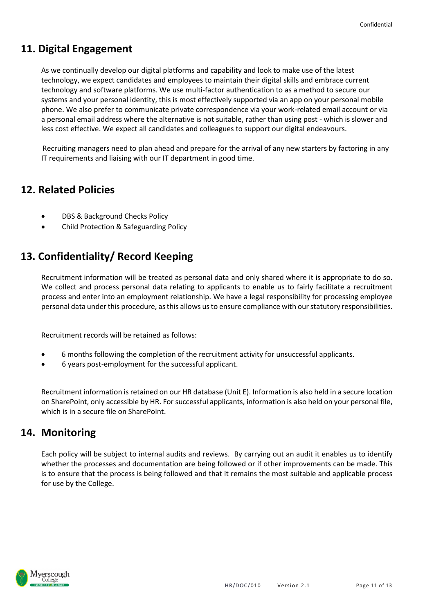### **11. Digital Engagement**

As we continually develop our digital platforms and capability and look to make use of the latest technology, we expect candidates and employees to maintain their digital skills and embrace current technology and software platforms. We use multi-factor authentication to as a method to secure our systems and your personal identity, this is most effectively supported via an app on your personal mobile phone. We also prefer to communicate private correspondence via your work-related email account or via a personal email address where the alternative is not suitable, rather than using post - which is slower and less cost effective. We expect all candidates and colleagues to support our digital endeavours.

 Recruiting managers need to plan ahead and prepare for the arrival of any new starters by factoring in any IT requirements and liaising with our IT department in good time.

### **12. Related Policies**

- DBS & Background Checks Policy
- Child Protection & Safeguarding Policy

### **13. Confidentiality/ Record Keeping**

Recruitment information will be treated as personal data and only shared where it is appropriate to do so. We collect and process personal data relating to applicants to enable us to fairly facilitate a recruitment process and enter into an employment relationship. We have a legal responsibility for processing employee personal data under this procedure, as this allows us to ensure compliance with our statutory responsibilities.

Recruitment records will be retained as follows:

- 6 months following the completion of the recruitment activity for unsuccessful applicants.
- 6 years post-employment for the successful applicant.

Recruitment information is retained on our HR database (Unit E). Information is also held in a secure location on SharePoint, only accessible by HR. For successful applicants, information is also held on your personal file, which is in a secure file on SharePoint.

### **14. Monitoring**

Each policy will be subject to internal audits and reviews. By carrying out an audit it enables us to identify whether the processes and documentation are being followed or if other improvements can be made. This is to ensure that the process is being followed and that it remains the most suitable and applicable process for use by the College.

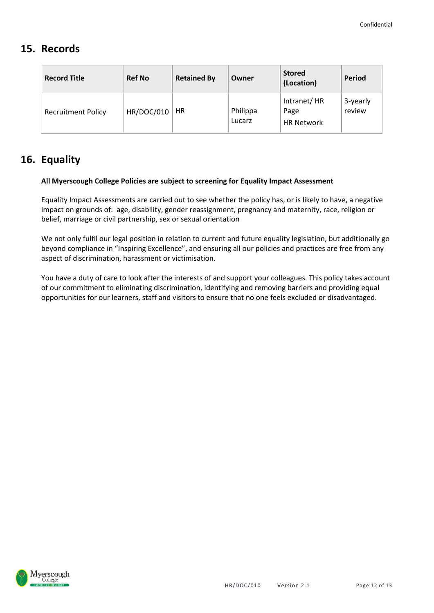### **15. Records**

| <b>Record Title</b>       | <b>Ref No</b>     | <b>Retained By</b> | Owner              | <b>Stored</b><br>(Location)              | <b>Period</b>      |
|---------------------------|-------------------|--------------------|--------------------|------------------------------------------|--------------------|
| <b>Recruitment Policy</b> | <b>HR/DOC/010</b> | HR                 | Philippa<br>Lucarz | Intranet/HR<br>Page<br><b>HR Network</b> | 3-yearly<br>review |

### **16. Equality**

#### **All Myerscough College Policies are subject to screening for Equality Impact Assessment**

Equality Impact Assessments are carried out to see whether the policy has, or is likely to have, a negative impact on grounds of: age, disability, gender reassignment, pregnancy and maternity, race, religion or belief, marriage or civil partnership, sex or sexual orientation

We not only fulfil our legal position in relation to current and future equality legislation, but additionally go beyond compliance in "Inspiring Excellence", and ensuring all our policies and practices are free from any aspect of discrimination, harassment or victimisation.

You have a duty of care to look after the interests of and support your colleagues. This policy takes account of our commitment to eliminating discrimination, identifying and removing barriers and providing equal opportunities for our learners, staff and visitors to ensure that no one feels excluded or disadvantaged.